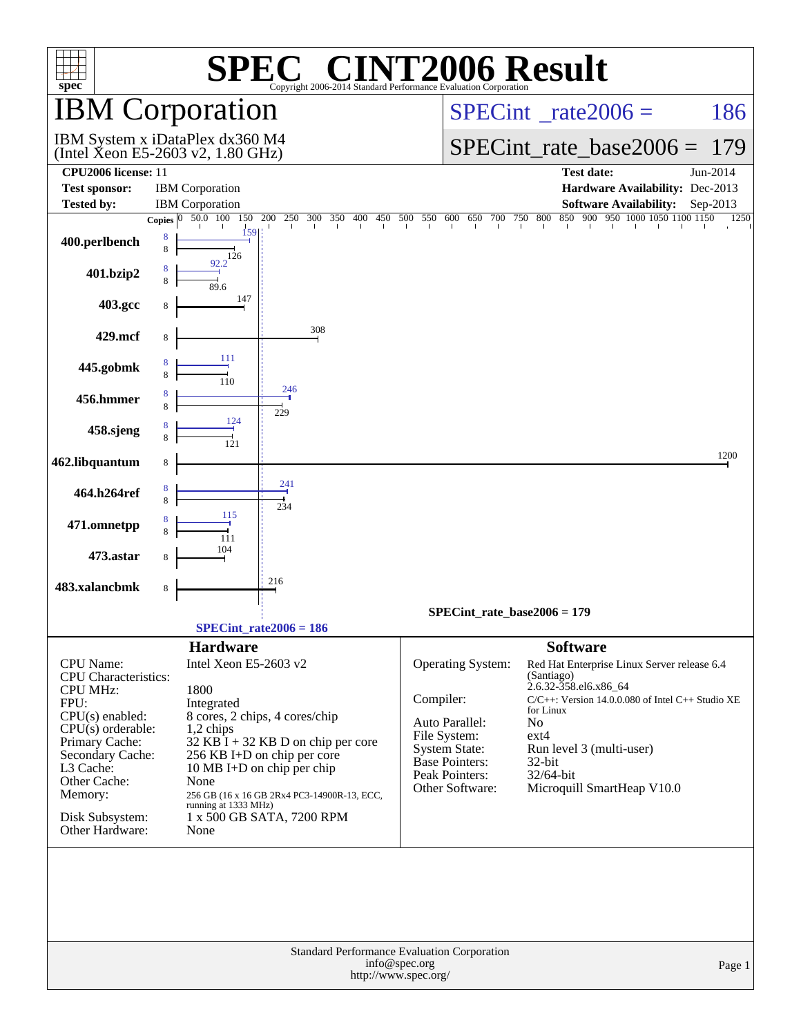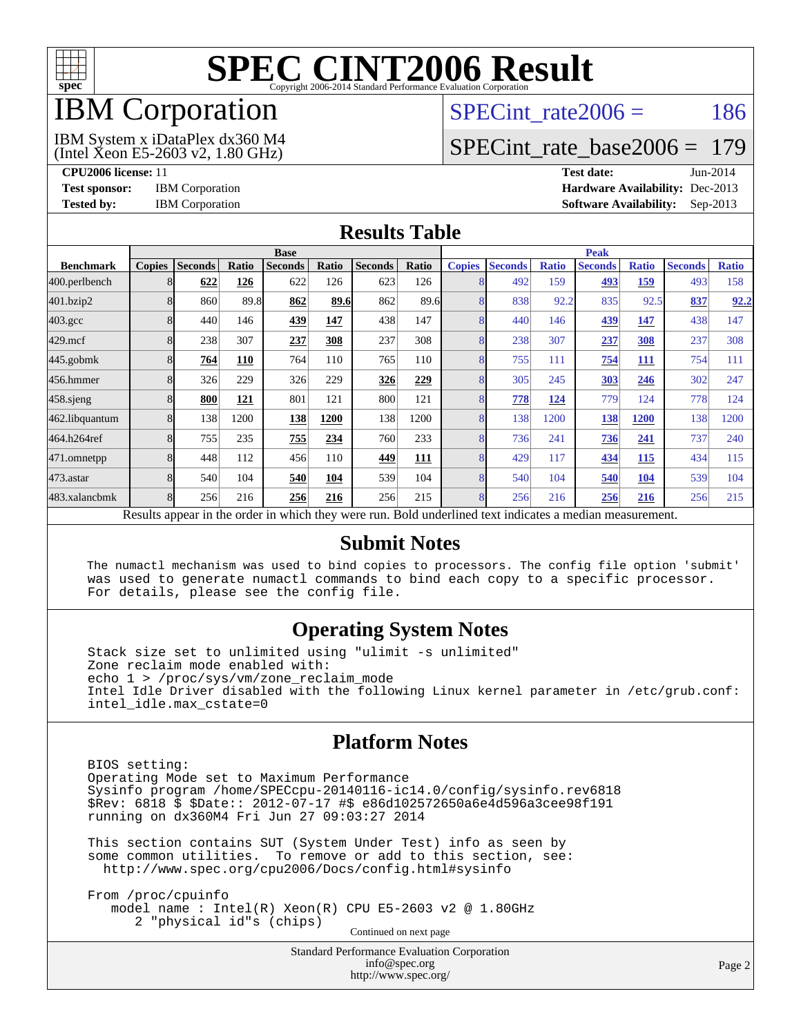

# IBM Corporation

# SPECint rate $2006 = 186$

(Intel Xeon E5-2603 v2, 1.80 GHz) IBM System x iDataPlex dx360 M4

[SPECint\\_rate\\_base2006 =](http://www.spec.org/auto/cpu2006/Docs/result-fields.html#SPECintratebase2006) 179

**[CPU2006 license:](http://www.spec.org/auto/cpu2006/Docs/result-fields.html#CPU2006license)** 11 **[Test date:](http://www.spec.org/auto/cpu2006/Docs/result-fields.html#Testdate)** Jun-2014 **[Test sponsor:](http://www.spec.org/auto/cpu2006/Docs/result-fields.html#Testsponsor)** IBM Corporation **[Hardware Availability:](http://www.spec.org/auto/cpu2006/Docs/result-fields.html#HardwareAvailability)** Dec-2013 **[Tested by:](http://www.spec.org/auto/cpu2006/Docs/result-fields.html#Testedby)** IBM Corporation **[Software Availability:](http://www.spec.org/auto/cpu2006/Docs/result-fields.html#SoftwareAvailability)** Sep-2013

#### **[Results Table](http://www.spec.org/auto/cpu2006/Docs/result-fields.html#ResultsTable)**

|                    | <b>Base</b>   |                |              |                |       |                |            | <b>Peak</b>   |                |              |                                                                                                          |              |                |              |
|--------------------|---------------|----------------|--------------|----------------|-------|----------------|------------|---------------|----------------|--------------|----------------------------------------------------------------------------------------------------------|--------------|----------------|--------------|
| <b>Benchmark</b>   | <b>Copies</b> | <b>Seconds</b> | <b>Ratio</b> | <b>Seconds</b> | Ratio | <b>Seconds</b> | Ratio      | <b>Copies</b> | <b>Seconds</b> | <b>Ratio</b> | <b>Seconds</b>                                                                                           | <b>Ratio</b> | <b>Seconds</b> | <b>Ratio</b> |
| 400.perlbench      | 8             | 622            | 126          | 622            | 126   | 623            | 126        | 8             | 492            | 159          | 493                                                                                                      | 159          | 493            | 158          |
| 401.bzip2          | 8             | 860            | 89.8         | 862            | 89.6  | 862            | 89.6       | 8             | 838            | 92.2         | 835                                                                                                      | 92.5         | 837            | 92.2         |
| $403.\mathrm{gcc}$ | 8             | 440            | 146          | 439            | 147   | 438            | 147        | 8             | 440            | 146          | 439                                                                                                      | 147          | 438            | 147          |
| $429$ .mcf         | 8             | 238            | 307          | 237            | 308   | 237            | 308        | 8             | 238            | 307          | 237                                                                                                      | 308          | 237            | 308          |
| $445$ .gobmk       | 8             | 764            | <b>110</b>   | 764            | 110   | 765            | 110        | 8             | 755            | 111          | 754                                                                                                      | 111          | 754            | 111          |
| 456.hmmer          | 8             | 326            | 229          | 326            | 229   | 326            | 229        | 8             | 305            | 245          | 303                                                                                                      | 246          | 302            | 247          |
| $458$ .sjeng       | 8             | 800            | 121          | 801            | 121   | 800            | 121        | 8             | 778            | 124          | 779                                                                                                      | 124          | 778            | 124          |
| 462.libquantum     | 8             | 138            | 1200         | 138            | 1200  | 138            | 1200       | 8             | 138            | 1200         | 138                                                                                                      | 1200         | 138            | 1200         |
| 464.h264ref        | 8             | 755            | 235          | 755            | 234   | 760            | 233        | 8             | 736            | 241          | 736                                                                                                      | 241          | 737            | 240          |
| 471.omnetpp        | 8             | 448            | 112          | 456            | 110   | 449            | <b>111</b> | 8             | 429            | 117          | 434                                                                                                      | 115          | 434            | 115          |
| $473$ . astar      | 8             | 540            | 104          | 540            | 104   | 539            | 104        | 8             | 540            | 104          | 540                                                                                                      | 104          | 539            | 104          |
| 483.xalancbmk      | 8             | 256            | 216          | 256            | 216   | 256            | 215        | 8             | 256            | 216          | 256                                                                                                      | 216          | 256            | 215          |
|                    |               |                |              |                |       |                |            |               |                |              | Results appear in the order in which they were run. Bold underlined text indicates a median measurement. |              |                |              |

#### **[Submit Notes](http://www.spec.org/auto/cpu2006/Docs/result-fields.html#SubmitNotes)**

 The numactl mechanism was used to bind copies to processors. The config file option 'submit' was used to generate numactl commands to bind each copy to a specific processor. For details, please see the config file.

### **[Operating System Notes](http://www.spec.org/auto/cpu2006/Docs/result-fields.html#OperatingSystemNotes)**

 Stack size set to unlimited using "ulimit -s unlimited" Zone reclaim mode enabled with: echo 1 > /proc/sys/vm/zone\_reclaim\_mode Intel Idle Driver disabled with the following Linux kernel parameter in /etc/grub.conf: intel\_idle.max\_cstate=0

#### **[Platform Notes](http://www.spec.org/auto/cpu2006/Docs/result-fields.html#PlatformNotes)**

 BIOS setting: Operating Mode set to Maximum Performance Sysinfo program /home/SPECcpu-20140116-ic14.0/config/sysinfo.rev6818 \$Rev: 6818 \$ \$Date:: 2012-07-17 #\$ e86d102572650a6e4d596a3cee98f191 running on dx360M4 Fri Jun 27 09:03:27 2014

 This section contains SUT (System Under Test) info as seen by some common utilities. To remove or add to this section, see: <http://www.spec.org/cpu2006/Docs/config.html#sysinfo>

 From /proc/cpuinfo model name : Intel(R) Xeon(R) CPU E5-2603 v2 @ 1.80GHz 2 "physical id"s (chips) Continued on next page

> Standard Performance Evaluation Corporation [info@spec.org](mailto:info@spec.org) <http://www.spec.org/>

Page 2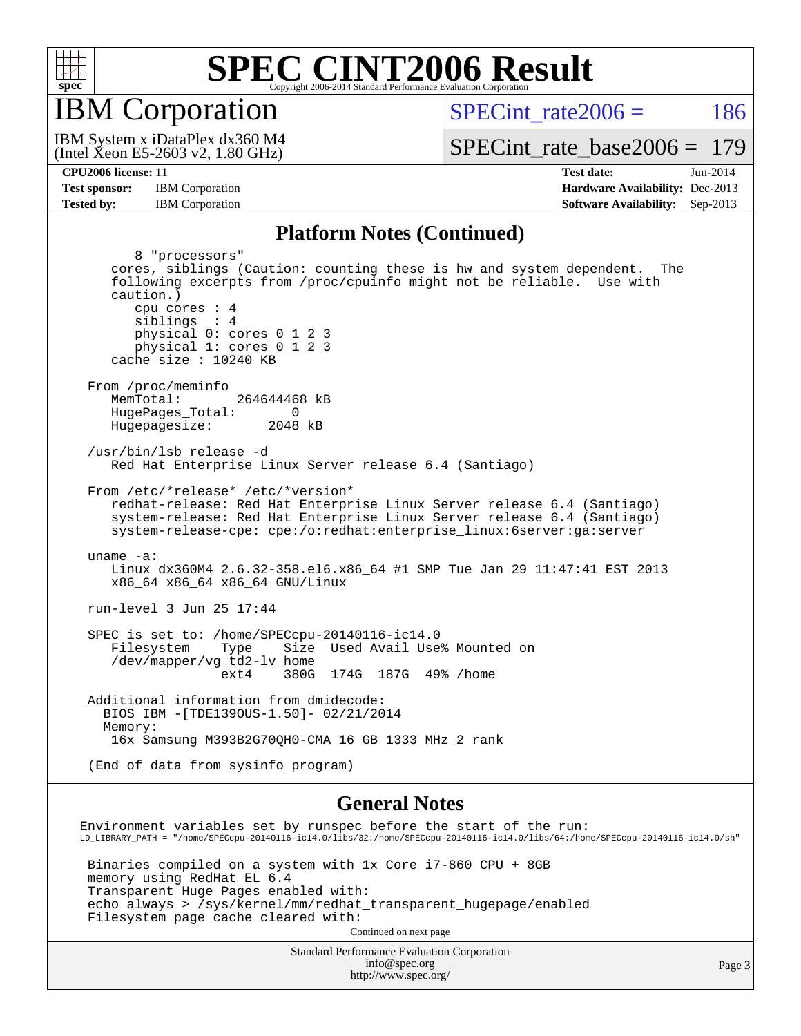

IBM Corporation

SPECint rate $2006 = 186$ 

(Intel Xeon E5-2603 v2, 1.80 GHz) IBM System x iDataPlex dx360 M4

[SPECint\\_rate\\_base2006 =](http://www.spec.org/auto/cpu2006/Docs/result-fields.html#SPECintratebase2006) 179

**[CPU2006 license:](http://www.spec.org/auto/cpu2006/Docs/result-fields.html#CPU2006license)** 11 **[Test date:](http://www.spec.org/auto/cpu2006/Docs/result-fields.html#Testdate)** Jun-2014 **[Test sponsor:](http://www.spec.org/auto/cpu2006/Docs/result-fields.html#Testsponsor)** IBM Corporation **[Hardware Availability:](http://www.spec.org/auto/cpu2006/Docs/result-fields.html#HardwareAvailability)** Dec-2013 **[Tested by:](http://www.spec.org/auto/cpu2006/Docs/result-fields.html#Testedby)** IBM Corporation **[Software Availability:](http://www.spec.org/auto/cpu2006/Docs/result-fields.html#SoftwareAvailability)** Sep-2013

#### **[Platform Notes \(Continued\)](http://www.spec.org/auto/cpu2006/Docs/result-fields.html#PlatformNotes)**

 8 "processors" cores, siblings (Caution: counting these is hw and system dependent. The following excerpts from /proc/cpuinfo might not be reliable. Use with caution.) cpu cores : 4 siblings : 4 physical 0: cores 0 1 2 3 physical 1: cores 0 1 2 3 cache size : 10240 KB From /proc/meminfo MemTotal: 264644468 kB HugePages\_Total: 0<br>Hugepagesize: 2048 kB Hugepagesize: /usr/bin/lsb\_release -d Red Hat Enterprise Linux Server release 6.4 (Santiago) From /etc/\*release\* /etc/\*version\* redhat-release: Red Hat Enterprise Linux Server release 6.4 (Santiago) system-release: Red Hat Enterprise Linux Server release 6.4 (Santiago) system-release-cpe: cpe:/o:redhat:enterprise\_linux:6server:ga:server uname -a: Linux dx360M4 2.6.32-358.el6.x86\_64 #1 SMP Tue Jan 29 11:47:41 EST 2013 x86\_64 x86\_64 x86\_64 GNU/Linux run-level 3 Jun 25 17:44 SPEC is set to: /home/SPECcpu-20140116-ic14.0 Filesystem Type Size Used Avail Use% Mounted on /dev/mapper/vg\_td2-lv\_home ext4 380G 174G 187G 49% /home Additional information from dmidecode: BIOS IBM -[TDE139OUS-1.50]- 02/21/2014 Memory: 16x Samsung M393B2G70QH0-CMA 16 GB 1333 MHz 2 rank (End of data from sysinfo program) **[General Notes](http://www.spec.org/auto/cpu2006/Docs/result-fields.html#GeneralNotes)** Environment variables set by runspec before the start of the run: LD\_LIBRARY\_PATH = "/home/SPECcpu-20140116-ic14.0/libs/32:/home/SPECcpu-20140116-ic14.0/libs/64:/home/SPECcpu-20140116-ic14.0/sh"

 Binaries compiled on a system with 1x Core i7-860 CPU + 8GB memory using RedHat EL 6.4 Transparent Huge Pages enabled with: echo always > /sys/kernel/mm/redhat\_transparent\_hugepage/enabled Filesystem page cache cleared with: Continued on next page

> Standard Performance Evaluation Corporation [info@spec.org](mailto:info@spec.org) <http://www.spec.org/>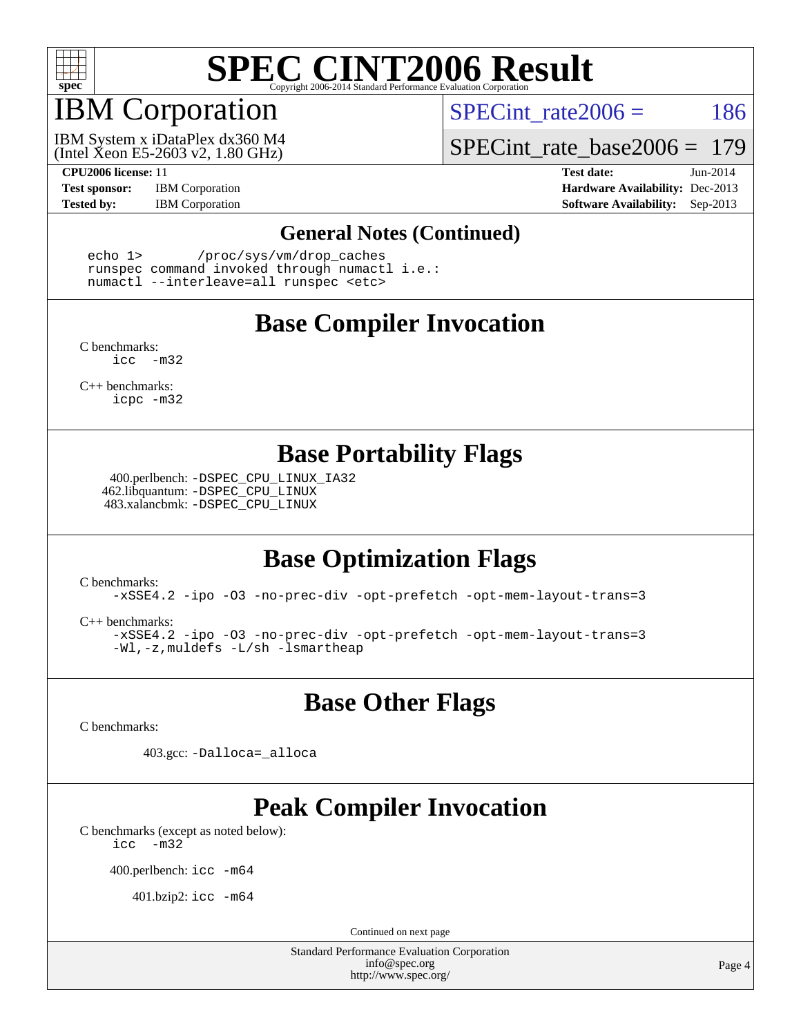

# IBM Corporation

SPECint rate $2006 = 186$ 

(Intel Xeon E5-2603 v2, 1.80 GHz) IBM System x iDataPlex dx360 M4

[SPECint\\_rate\\_base2006 =](http://www.spec.org/auto/cpu2006/Docs/result-fields.html#SPECintratebase2006) 179

**[CPU2006 license:](http://www.spec.org/auto/cpu2006/Docs/result-fields.html#CPU2006license)** 11 **[Test date:](http://www.spec.org/auto/cpu2006/Docs/result-fields.html#Testdate)** Jun-2014 **[Test sponsor:](http://www.spec.org/auto/cpu2006/Docs/result-fields.html#Testsponsor)** IBM Corporation **[Hardware Availability:](http://www.spec.org/auto/cpu2006/Docs/result-fields.html#HardwareAvailability)** Dec-2013 **[Tested by:](http://www.spec.org/auto/cpu2006/Docs/result-fields.html#Testedby)** IBM Corporation **[Software Availability:](http://www.spec.org/auto/cpu2006/Docs/result-fields.html#SoftwareAvailability)** Sep-2013

#### **[General Notes \(Continued\)](http://www.spec.org/auto/cpu2006/Docs/result-fields.html#GeneralNotes)**

 echo 1> /proc/sys/vm/drop\_caches runspec command invoked through numactl i.e.: numactl --interleave=all runspec <etc>

### **[Base Compiler Invocation](http://www.spec.org/auto/cpu2006/Docs/result-fields.html#BaseCompilerInvocation)**

[C benchmarks](http://www.spec.org/auto/cpu2006/Docs/result-fields.html#Cbenchmarks): [icc -m32](http://www.spec.org/cpu2006/results/res2014q3/cpu2006-20140702-30280.flags.html#user_CCbase_intel_icc_5ff4a39e364c98233615fdd38438c6f2)

[C++ benchmarks:](http://www.spec.org/auto/cpu2006/Docs/result-fields.html#CXXbenchmarks) [icpc -m32](http://www.spec.org/cpu2006/results/res2014q3/cpu2006-20140702-30280.flags.html#user_CXXbase_intel_icpc_4e5a5ef1a53fd332b3c49e69c3330699)

### **[Base Portability Flags](http://www.spec.org/auto/cpu2006/Docs/result-fields.html#BasePortabilityFlags)**

 400.perlbench: [-DSPEC\\_CPU\\_LINUX\\_IA32](http://www.spec.org/cpu2006/results/res2014q3/cpu2006-20140702-30280.flags.html#b400.perlbench_baseCPORTABILITY_DSPEC_CPU_LINUX_IA32) 462.libquantum: [-DSPEC\\_CPU\\_LINUX](http://www.spec.org/cpu2006/results/res2014q3/cpu2006-20140702-30280.flags.html#b462.libquantum_baseCPORTABILITY_DSPEC_CPU_LINUX) 483.xalancbmk: [-DSPEC\\_CPU\\_LINUX](http://www.spec.org/cpu2006/results/res2014q3/cpu2006-20140702-30280.flags.html#b483.xalancbmk_baseCXXPORTABILITY_DSPEC_CPU_LINUX)

## **[Base Optimization Flags](http://www.spec.org/auto/cpu2006/Docs/result-fields.html#BaseOptimizationFlags)**

[C benchmarks](http://www.spec.org/auto/cpu2006/Docs/result-fields.html#Cbenchmarks):

[-xSSE4.2](http://www.spec.org/cpu2006/results/res2014q3/cpu2006-20140702-30280.flags.html#user_CCbase_f-xSSE42_f91528193cf0b216347adb8b939d4107) [-ipo](http://www.spec.org/cpu2006/results/res2014q3/cpu2006-20140702-30280.flags.html#user_CCbase_f-ipo) [-O3](http://www.spec.org/cpu2006/results/res2014q3/cpu2006-20140702-30280.flags.html#user_CCbase_f-O3) [-no-prec-div](http://www.spec.org/cpu2006/results/res2014q3/cpu2006-20140702-30280.flags.html#user_CCbase_f-no-prec-div) [-opt-prefetch](http://www.spec.org/cpu2006/results/res2014q3/cpu2006-20140702-30280.flags.html#user_CCbase_f-opt-prefetch) [-opt-mem-layout-trans=3](http://www.spec.org/cpu2006/results/res2014q3/cpu2006-20140702-30280.flags.html#user_CCbase_f-opt-mem-layout-trans_a7b82ad4bd7abf52556d4961a2ae94d5)

[C++ benchmarks:](http://www.spec.org/auto/cpu2006/Docs/result-fields.html#CXXbenchmarks)

[-xSSE4.2](http://www.spec.org/cpu2006/results/res2014q3/cpu2006-20140702-30280.flags.html#user_CXXbase_f-xSSE42_f91528193cf0b216347adb8b939d4107) [-ipo](http://www.spec.org/cpu2006/results/res2014q3/cpu2006-20140702-30280.flags.html#user_CXXbase_f-ipo) [-O3](http://www.spec.org/cpu2006/results/res2014q3/cpu2006-20140702-30280.flags.html#user_CXXbase_f-O3) [-no-prec-div](http://www.spec.org/cpu2006/results/res2014q3/cpu2006-20140702-30280.flags.html#user_CXXbase_f-no-prec-div) [-opt-prefetch](http://www.spec.org/cpu2006/results/res2014q3/cpu2006-20140702-30280.flags.html#user_CXXbase_f-opt-prefetch) [-opt-mem-layout-trans=3](http://www.spec.org/cpu2006/results/res2014q3/cpu2006-20140702-30280.flags.html#user_CXXbase_f-opt-mem-layout-trans_a7b82ad4bd7abf52556d4961a2ae94d5) [-Wl,-z,muldefs](http://www.spec.org/cpu2006/results/res2014q3/cpu2006-20140702-30280.flags.html#user_CXXbase_link_force_multiple1_74079c344b956b9658436fd1b6dd3a8a) [-L/sh -lsmartheap](http://www.spec.org/cpu2006/results/res2014q3/cpu2006-20140702-30280.flags.html#user_CXXbase_SmartHeap_32f6c82aa1ed9c52345d30cf6e4a0499)

**[Base Other Flags](http://www.spec.org/auto/cpu2006/Docs/result-fields.html#BaseOtherFlags)**

[C benchmarks](http://www.spec.org/auto/cpu2006/Docs/result-fields.html#Cbenchmarks):

403.gcc: [-Dalloca=\\_alloca](http://www.spec.org/cpu2006/results/res2014q3/cpu2006-20140702-30280.flags.html#b403.gcc_baseEXTRA_CFLAGS_Dalloca_be3056838c12de2578596ca5467af7f3)

# **[Peak Compiler Invocation](http://www.spec.org/auto/cpu2006/Docs/result-fields.html#PeakCompilerInvocation)**

[C benchmarks \(except as noted below\)](http://www.spec.org/auto/cpu2006/Docs/result-fields.html#Cbenchmarksexceptasnotedbelow): [icc -m32](http://www.spec.org/cpu2006/results/res2014q3/cpu2006-20140702-30280.flags.html#user_CCpeak_intel_icc_5ff4a39e364c98233615fdd38438c6f2)

400.perlbench: [icc -m64](http://www.spec.org/cpu2006/results/res2014q3/cpu2006-20140702-30280.flags.html#user_peakCCLD400_perlbench_intel_icc_64bit_bda6cc9af1fdbb0edc3795bac97ada53)

401.bzip2: [icc -m64](http://www.spec.org/cpu2006/results/res2014q3/cpu2006-20140702-30280.flags.html#user_peakCCLD401_bzip2_intel_icc_64bit_bda6cc9af1fdbb0edc3795bac97ada53)

Continued on next page

Standard Performance Evaluation Corporation [info@spec.org](mailto:info@spec.org) <http://www.spec.org/>

Page 4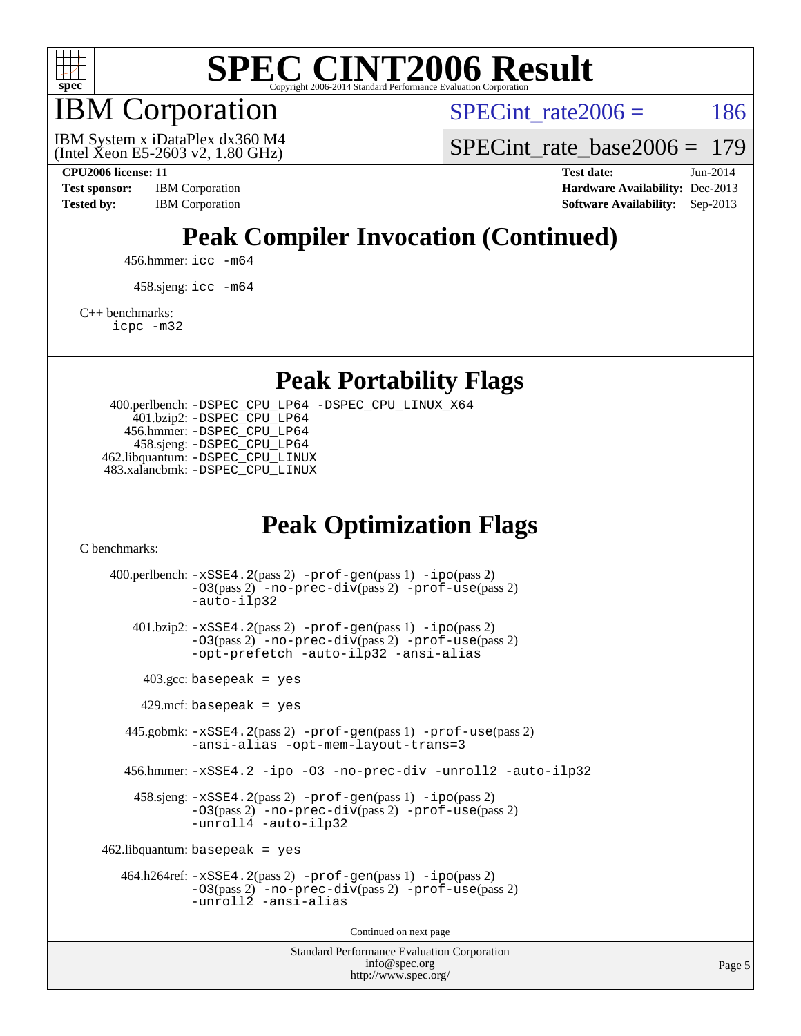

IBM Corporation

SPECint rate $2006 = 186$ 

(Intel Xeon E5-2603 v2, 1.80 GHz) IBM System x iDataPlex dx360 M4 [SPECint\\_rate\\_base2006 =](http://www.spec.org/auto/cpu2006/Docs/result-fields.html#SPECintratebase2006) 179

**[CPU2006 license:](http://www.spec.org/auto/cpu2006/Docs/result-fields.html#CPU2006license)** 11 **[Test date:](http://www.spec.org/auto/cpu2006/Docs/result-fields.html#Testdate)** Jun-2014 **[Test sponsor:](http://www.spec.org/auto/cpu2006/Docs/result-fields.html#Testsponsor)** IBM Corporation **[Hardware Availability:](http://www.spec.org/auto/cpu2006/Docs/result-fields.html#HardwareAvailability)** Dec-2013 [Tested by:](http://www.spec.org/auto/cpu2006/Docs/result-fields.html#Testedby) IBM Corporation **[Software Availability:](http://www.spec.org/auto/cpu2006/Docs/result-fields.html#SoftwareAvailability)** Sep-2013

# **[Peak Compiler Invocation \(Continued\)](http://www.spec.org/auto/cpu2006/Docs/result-fields.html#PeakCompilerInvocation)**

456.hmmer: [icc -m64](http://www.spec.org/cpu2006/results/res2014q3/cpu2006-20140702-30280.flags.html#user_peakCCLD456_hmmer_intel_icc_64bit_bda6cc9af1fdbb0edc3795bac97ada53)

458.sjeng: [icc -m64](http://www.spec.org/cpu2006/results/res2014q3/cpu2006-20140702-30280.flags.html#user_peakCCLD458_sjeng_intel_icc_64bit_bda6cc9af1fdbb0edc3795bac97ada53)

[C++ benchmarks:](http://www.spec.org/auto/cpu2006/Docs/result-fields.html#CXXbenchmarks)

[icpc -m32](http://www.spec.org/cpu2006/results/res2014q3/cpu2006-20140702-30280.flags.html#user_CXXpeak_intel_icpc_4e5a5ef1a53fd332b3c49e69c3330699)

**[Peak Portability Flags](http://www.spec.org/auto/cpu2006/Docs/result-fields.html#PeakPortabilityFlags)**

 400.perlbench: [-DSPEC\\_CPU\\_LP64](http://www.spec.org/cpu2006/results/res2014q3/cpu2006-20140702-30280.flags.html#b400.perlbench_peakCPORTABILITY_DSPEC_CPU_LP64) [-DSPEC\\_CPU\\_LINUX\\_X64](http://www.spec.org/cpu2006/results/res2014q3/cpu2006-20140702-30280.flags.html#b400.perlbench_peakCPORTABILITY_DSPEC_CPU_LINUX_X64) 401.bzip2: [-DSPEC\\_CPU\\_LP64](http://www.spec.org/cpu2006/results/res2014q3/cpu2006-20140702-30280.flags.html#suite_peakCPORTABILITY401_bzip2_DSPEC_CPU_LP64) 456.hmmer: [-DSPEC\\_CPU\\_LP64](http://www.spec.org/cpu2006/results/res2014q3/cpu2006-20140702-30280.flags.html#suite_peakCPORTABILITY456_hmmer_DSPEC_CPU_LP64) 458.sjeng: [-DSPEC\\_CPU\\_LP64](http://www.spec.org/cpu2006/results/res2014q3/cpu2006-20140702-30280.flags.html#suite_peakCPORTABILITY458_sjeng_DSPEC_CPU_LP64) 462.libquantum: [-DSPEC\\_CPU\\_LINUX](http://www.spec.org/cpu2006/results/res2014q3/cpu2006-20140702-30280.flags.html#b462.libquantum_peakCPORTABILITY_DSPEC_CPU_LINUX) 483.xalancbmk: [-DSPEC\\_CPU\\_LINUX](http://www.spec.org/cpu2006/results/res2014q3/cpu2006-20140702-30280.flags.html#b483.xalancbmk_peakCXXPORTABILITY_DSPEC_CPU_LINUX)

## **[Peak Optimization Flags](http://www.spec.org/auto/cpu2006/Docs/result-fields.html#PeakOptimizationFlags)**

[C benchmarks](http://www.spec.org/auto/cpu2006/Docs/result-fields.html#Cbenchmarks):

Standard Performance Evaluation Corporation 400.perlbench: [-xSSE4.2](http://www.spec.org/cpu2006/results/res2014q3/cpu2006-20140702-30280.flags.html#user_peakPASS2_CFLAGSPASS2_LDCFLAGS400_perlbench_f-xSSE42_f91528193cf0b216347adb8b939d4107)(pass 2) [-prof-gen](http://www.spec.org/cpu2006/results/res2014q3/cpu2006-20140702-30280.flags.html#user_peakPASS1_CFLAGSPASS1_LDCFLAGS400_perlbench_prof_gen_e43856698f6ca7b7e442dfd80e94a8fc)(pass 1) [-ipo](http://www.spec.org/cpu2006/results/res2014q3/cpu2006-20140702-30280.flags.html#user_peakPASS2_CFLAGSPASS2_LDCFLAGS400_perlbench_f-ipo)(pass 2) [-O3](http://www.spec.org/cpu2006/results/res2014q3/cpu2006-20140702-30280.flags.html#user_peakPASS2_CFLAGSPASS2_LDCFLAGS400_perlbench_f-O3)(pass 2) [-no-prec-div](http://www.spec.org/cpu2006/results/res2014q3/cpu2006-20140702-30280.flags.html#user_peakPASS2_CFLAGSPASS2_LDCFLAGS400_perlbench_f-no-prec-div)(pass 2) [-prof-use](http://www.spec.org/cpu2006/results/res2014q3/cpu2006-20140702-30280.flags.html#user_peakPASS2_CFLAGSPASS2_LDCFLAGS400_perlbench_prof_use_bccf7792157ff70d64e32fe3e1250b55)(pass 2) [-auto-ilp32](http://www.spec.org/cpu2006/results/res2014q3/cpu2006-20140702-30280.flags.html#user_peakCOPTIMIZE400_perlbench_f-auto-ilp32) 401.bzip2: [-xSSE4.2](http://www.spec.org/cpu2006/results/res2014q3/cpu2006-20140702-30280.flags.html#user_peakPASS2_CFLAGSPASS2_LDCFLAGS401_bzip2_f-xSSE42_f91528193cf0b216347adb8b939d4107)(pass 2) [-prof-gen](http://www.spec.org/cpu2006/results/res2014q3/cpu2006-20140702-30280.flags.html#user_peakPASS1_CFLAGSPASS1_LDCFLAGS401_bzip2_prof_gen_e43856698f6ca7b7e442dfd80e94a8fc)(pass 1) [-ipo](http://www.spec.org/cpu2006/results/res2014q3/cpu2006-20140702-30280.flags.html#user_peakPASS2_CFLAGSPASS2_LDCFLAGS401_bzip2_f-ipo)(pass 2) [-O3](http://www.spec.org/cpu2006/results/res2014q3/cpu2006-20140702-30280.flags.html#user_peakPASS2_CFLAGSPASS2_LDCFLAGS401_bzip2_f-O3)(pass 2) [-no-prec-div](http://www.spec.org/cpu2006/results/res2014q3/cpu2006-20140702-30280.flags.html#user_peakPASS2_CFLAGSPASS2_LDCFLAGS401_bzip2_f-no-prec-div)(pass 2) [-prof-use](http://www.spec.org/cpu2006/results/res2014q3/cpu2006-20140702-30280.flags.html#user_peakPASS2_CFLAGSPASS2_LDCFLAGS401_bzip2_prof_use_bccf7792157ff70d64e32fe3e1250b55)(pass 2) [-opt-prefetch](http://www.spec.org/cpu2006/results/res2014q3/cpu2006-20140702-30280.flags.html#user_peakCOPTIMIZE401_bzip2_f-opt-prefetch) [-auto-ilp32](http://www.spec.org/cpu2006/results/res2014q3/cpu2006-20140702-30280.flags.html#user_peakCOPTIMIZE401_bzip2_f-auto-ilp32) [-ansi-alias](http://www.spec.org/cpu2006/results/res2014q3/cpu2006-20140702-30280.flags.html#user_peakCOPTIMIZE401_bzip2_f-ansi-alias)  $403.\text{gcc: basepeak}$  = yes  $429$ .mcf: basepeak = yes 445.gobmk: [-xSSE4.2](http://www.spec.org/cpu2006/results/res2014q3/cpu2006-20140702-30280.flags.html#user_peakPASS2_CFLAGSPASS2_LDCFLAGS445_gobmk_f-xSSE42_f91528193cf0b216347adb8b939d4107)(pass 2) [-prof-gen](http://www.spec.org/cpu2006/results/res2014q3/cpu2006-20140702-30280.flags.html#user_peakPASS1_CFLAGSPASS1_LDCFLAGS445_gobmk_prof_gen_e43856698f6ca7b7e442dfd80e94a8fc)(pass 1) [-prof-use](http://www.spec.org/cpu2006/results/res2014q3/cpu2006-20140702-30280.flags.html#user_peakPASS2_CFLAGSPASS2_LDCFLAGS445_gobmk_prof_use_bccf7792157ff70d64e32fe3e1250b55)(pass 2) [-ansi-alias](http://www.spec.org/cpu2006/results/res2014q3/cpu2006-20140702-30280.flags.html#user_peakCOPTIMIZE445_gobmk_f-ansi-alias) [-opt-mem-layout-trans=3](http://www.spec.org/cpu2006/results/res2014q3/cpu2006-20140702-30280.flags.html#user_peakCOPTIMIZE445_gobmk_f-opt-mem-layout-trans_a7b82ad4bd7abf52556d4961a2ae94d5) 456.hmmer: [-xSSE4.2](http://www.spec.org/cpu2006/results/res2014q3/cpu2006-20140702-30280.flags.html#user_peakCOPTIMIZE456_hmmer_f-xSSE42_f91528193cf0b216347adb8b939d4107) [-ipo](http://www.spec.org/cpu2006/results/res2014q3/cpu2006-20140702-30280.flags.html#user_peakCOPTIMIZE456_hmmer_f-ipo) [-O3](http://www.spec.org/cpu2006/results/res2014q3/cpu2006-20140702-30280.flags.html#user_peakCOPTIMIZE456_hmmer_f-O3) [-no-prec-div](http://www.spec.org/cpu2006/results/res2014q3/cpu2006-20140702-30280.flags.html#user_peakCOPTIMIZE456_hmmer_f-no-prec-div) [-unroll2](http://www.spec.org/cpu2006/results/res2014q3/cpu2006-20140702-30280.flags.html#user_peakCOPTIMIZE456_hmmer_f-unroll_784dae83bebfb236979b41d2422d7ec2) [-auto-ilp32](http://www.spec.org/cpu2006/results/res2014q3/cpu2006-20140702-30280.flags.html#user_peakCOPTIMIZE456_hmmer_f-auto-ilp32) 458.sjeng: [-xSSE4.2](http://www.spec.org/cpu2006/results/res2014q3/cpu2006-20140702-30280.flags.html#user_peakPASS2_CFLAGSPASS2_LDCFLAGS458_sjeng_f-xSSE42_f91528193cf0b216347adb8b939d4107)(pass 2) [-prof-gen](http://www.spec.org/cpu2006/results/res2014q3/cpu2006-20140702-30280.flags.html#user_peakPASS1_CFLAGSPASS1_LDCFLAGS458_sjeng_prof_gen_e43856698f6ca7b7e442dfd80e94a8fc)(pass 1) [-ipo](http://www.spec.org/cpu2006/results/res2014q3/cpu2006-20140702-30280.flags.html#user_peakPASS2_CFLAGSPASS2_LDCFLAGS458_sjeng_f-ipo)(pass 2) [-O3](http://www.spec.org/cpu2006/results/res2014q3/cpu2006-20140702-30280.flags.html#user_peakPASS2_CFLAGSPASS2_LDCFLAGS458_sjeng_f-O3)(pass 2) [-no-prec-div](http://www.spec.org/cpu2006/results/res2014q3/cpu2006-20140702-30280.flags.html#user_peakPASS2_CFLAGSPASS2_LDCFLAGS458_sjeng_f-no-prec-div)(pass 2) [-prof-use](http://www.spec.org/cpu2006/results/res2014q3/cpu2006-20140702-30280.flags.html#user_peakPASS2_CFLAGSPASS2_LDCFLAGS458_sjeng_prof_use_bccf7792157ff70d64e32fe3e1250b55)(pass 2) [-unroll4](http://www.spec.org/cpu2006/results/res2014q3/cpu2006-20140702-30280.flags.html#user_peakCOPTIMIZE458_sjeng_f-unroll_4e5e4ed65b7fd20bdcd365bec371b81f) [-auto-ilp32](http://www.spec.org/cpu2006/results/res2014q3/cpu2006-20140702-30280.flags.html#user_peakCOPTIMIZE458_sjeng_f-auto-ilp32)  $462$ .libquantum: basepeak = yes 464.h264ref: [-xSSE4.2](http://www.spec.org/cpu2006/results/res2014q3/cpu2006-20140702-30280.flags.html#user_peakPASS2_CFLAGSPASS2_LDCFLAGS464_h264ref_f-xSSE42_f91528193cf0b216347adb8b939d4107)(pass 2) [-prof-gen](http://www.spec.org/cpu2006/results/res2014q3/cpu2006-20140702-30280.flags.html#user_peakPASS1_CFLAGSPASS1_LDCFLAGS464_h264ref_prof_gen_e43856698f6ca7b7e442dfd80e94a8fc)(pass 1) [-ipo](http://www.spec.org/cpu2006/results/res2014q3/cpu2006-20140702-30280.flags.html#user_peakPASS2_CFLAGSPASS2_LDCFLAGS464_h264ref_f-ipo)(pass 2) [-O3](http://www.spec.org/cpu2006/results/res2014q3/cpu2006-20140702-30280.flags.html#user_peakPASS2_CFLAGSPASS2_LDCFLAGS464_h264ref_f-O3)(pass 2) [-no-prec-div](http://www.spec.org/cpu2006/results/res2014q3/cpu2006-20140702-30280.flags.html#user_peakPASS2_CFLAGSPASS2_LDCFLAGS464_h264ref_f-no-prec-div)(pass 2) [-prof-use](http://www.spec.org/cpu2006/results/res2014q3/cpu2006-20140702-30280.flags.html#user_peakPASS2_CFLAGSPASS2_LDCFLAGS464_h264ref_prof_use_bccf7792157ff70d64e32fe3e1250b55)(pass 2) [-unroll2](http://www.spec.org/cpu2006/results/res2014q3/cpu2006-20140702-30280.flags.html#user_peakCOPTIMIZE464_h264ref_f-unroll_784dae83bebfb236979b41d2422d7ec2) [-ansi-alias](http://www.spec.org/cpu2006/results/res2014q3/cpu2006-20140702-30280.flags.html#user_peakCOPTIMIZE464_h264ref_f-ansi-alias) Continued on next page

[info@spec.org](mailto:info@spec.org) <http://www.spec.org/>